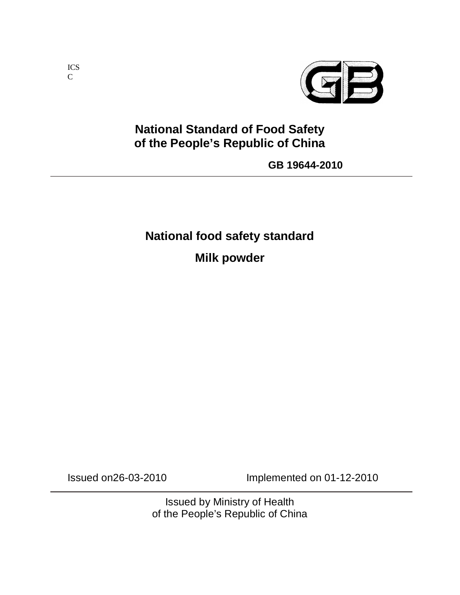

# **National Standard of Food Safety of the People's Republic of China**

**GB 19644-2010**

# **National food safety standard**

**Milk powder**

Issued on26-03-2010 Implemented on 01-12-2010

Issued by Ministry of Health of the People's Republic of China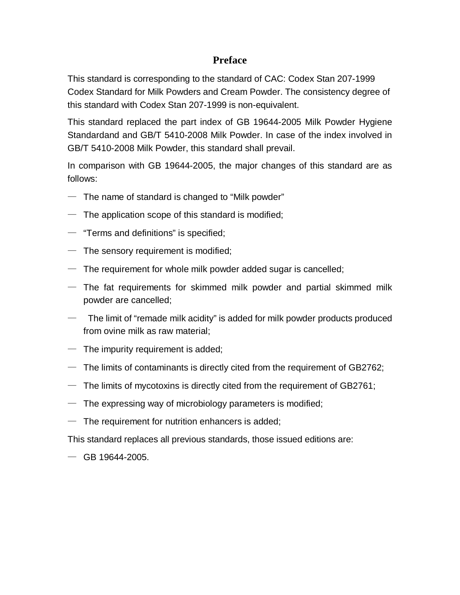#### **Preface**

This standard is corresponding to the standard of CAC: Codex Stan 207-1999 Codex Standard for Milk Powders and Cream Powder. The consistency degree of this standard with Codex Stan 207-1999 is non-equivalent.

This standard replaced the part index of GB 19644-2005 Milk Powder Hygiene Standardand and GB/T 5410-2008 Milk Powder. In case of the index involved in GB/T 5410-2008 Milk Powder, this standard shall prevail.

In comparison with GB 19644-2005, the major changes of this standard are as follows:

- $-$  The name of standard is changed to "Milk powder"
- $-$  The application scope of this standard is modified;
- $-$  "Terms and definitions" is specified;
- $-$  The sensory requirement is modified;
- $-$  The requirement for whole milk powder added sugar is cancelled;
- $-$  The fat requirements for skimmed milk powder and partial skimmed milk powder are cancelled;
- $-$  The limit of "remade milk acidity" is added for milk powder products produced from ovine milk as raw material;
- $-$  The impurity requirement is added;
- $-$  The limits of contaminants is directly cited from the requirement of GB2762;
- $-$  The limits of mycotoxins is directly cited from the requirement of GB2761;
- $-$  The expressing way of microbiology parameters is modified;
- $-$  The requirement for nutrition enhancers is added;

This standard replaces all previous standards, those issued editions are:

 $-$  GB 19644-2005.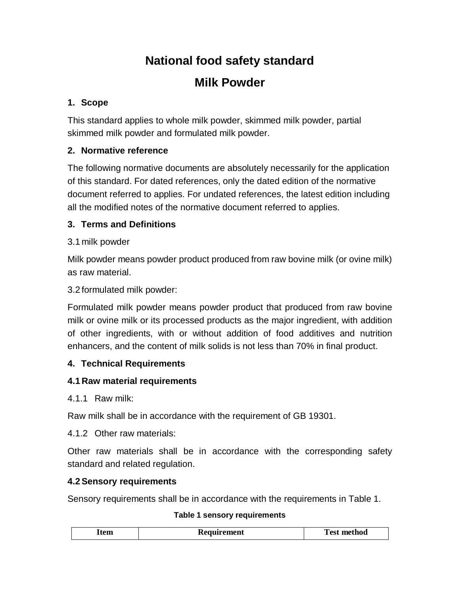# **National food safety standard**

# **Milk Powder**

### **1. Scope**

This standard applies to whole milk powder, skimmed milk powder, partial skimmed milk powder and formulated milk powder.

## **2. Normative reference**

The following normative documents are absolutely necessarily for the application of this standard. For dated references, only the dated edition of the normative document referred to applies. For undated references, the latest edition including all the modified notes of the normative document referred to applies.

#### **3. Terms and Definitions**

#### 3.1 milk powder

Milk powder means powder product produced from raw bovine milk (or ovine milk) as raw material.

#### 3.2 formulated milk powder:

Formulated milk powder means powder product that produced from raw bovine milk or ovine milk or its processed products as the major ingredient, with addition of other ingredients, with or without addition of food additives and nutrition enhancers, and the content of milk solids is not less than 70% in final product.

#### **4. Technical Requirements**

#### **4.1 Raw material requirements**

4.1.1 Raw milk:

Raw milk shall be in accordance with the requirement of GB 19301.

4.1.2 Other raw materials:

Other raw materials shall be in accordance with the corresponding safety standard and related regulation.

#### **4.2 Sensory requirements**

Sensory requirements shall be in accordance with the requirements in Table 1.

#### **Table 1 sensory requirements**

|--|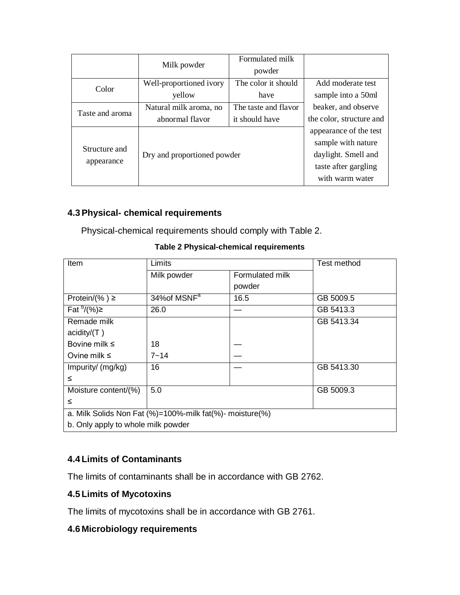|                                                                           |                             | Formulated milk                                                                      |                          |
|---------------------------------------------------------------------------|-----------------------------|--------------------------------------------------------------------------------------|--------------------------|
|                                                                           | Milk powder                 | powder                                                                               |                          |
| The color it should<br>Well-proportioned ivory<br>Color<br>yellow<br>have |                             |                                                                                      | Add moderate test        |
|                                                                           | sample into a 50ml          |                                                                                      |                          |
| Taste and aroma                                                           | Natural milk aroma, no      | The taste and flavor                                                                 | beaker, and observe      |
|                                                                           | abnormal flavor             | it should have                                                                       | the color, structure and |
| Structure and<br>appearance                                               |                             | appearance of the test                                                               |                          |
|                                                                           |                             | sample with nature<br>daylight. Smell and<br>taste after gargling<br>with warm water |                          |
|                                                                           | Dry and proportioned powder |                                                                                      |                          |
|                                                                           |                             |                                                                                      |                          |
|                                                                           |                             |                                                                                      |                          |

#### **4.3 Physical- chemical requirements**

Physical-chemical requirements should comply with Table 2.

| <b>Item</b>                                                           | Limits                   |                 | Test method |  |  |  |  |
|-----------------------------------------------------------------------|--------------------------|-----------------|-------------|--|--|--|--|
|                                                                       | Milk powder              | Formulated milk |             |  |  |  |  |
|                                                                       |                          | powder          |             |  |  |  |  |
| Protein/ $(\% ) \ge$                                                  | 34% of MSNF <sup>a</sup> | 16.5            | GB 5009.5   |  |  |  |  |
| $\overline{\text{Fat}}^{b}/(\%)\geq$                                  | 26.0                     |                 | GB 5413.3   |  |  |  |  |
| Remade milk                                                           |                          |                 | GB 5413.34  |  |  |  |  |
| acidity/ $(T)$                                                        |                          |                 |             |  |  |  |  |
| Bovine milk $\leq$                                                    | 18                       |                 |             |  |  |  |  |
| Ovine milk $\leq$                                                     | $7 - 14$                 |                 |             |  |  |  |  |
| Impurity/ (mg/kg)                                                     | 16                       |                 | GB 5413.30  |  |  |  |  |
| ≤                                                                     |                          |                 |             |  |  |  |  |
| Moisture content/(%)                                                  | 5.0                      |                 | GB 5009.3   |  |  |  |  |
| ≤                                                                     |                          |                 |             |  |  |  |  |
| a. Milk Solids Non Fat $(\%)$ =100%-milk fat $(\%)$ - moisture $(\%)$ |                          |                 |             |  |  |  |  |
| b. Only apply to whole milk powder                                    |                          |                 |             |  |  |  |  |

#### **Table 2 Physical-chemical requirements**

## **4.4 Limits of Contaminants**

The limits of contaminants shall be in accordance with GB 2762.

#### **4.5 Limits of Mycotoxins**

The limits of mycotoxins shall be in accordance with GB 2761.

#### **4.6 Microbiology requirements**